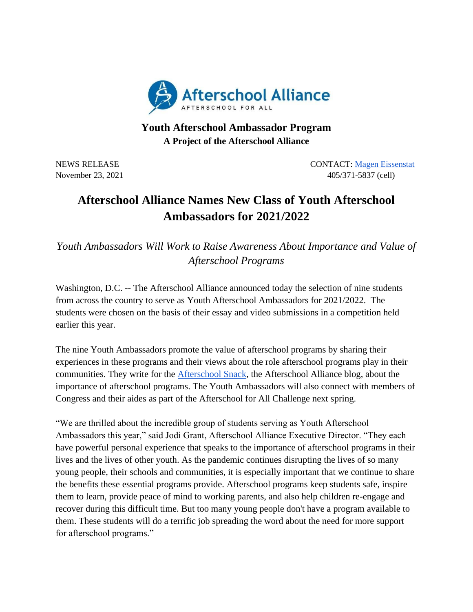

## **Youth Afterschool Ambassador Program A Project of the Afterschool Alliance**

NEWS RELEASE CONTACT: [Magen Eissenstat](mailto:magen@prsolutionsdc.com) November 23, 2021 405/371-5837 (cell)

## **Afterschool Alliance Names New Class of Youth Afterschool Ambassadors for 2021/2022**

*Youth Ambassadors Will Work to Raise Awareness About Importance and Value of Afterschool Programs*

Washington, D.C. -- The Afterschool Alliance announced today the selection of nine students from across the country to serve as Youth Afterschool Ambassadors for 2021/2022. The students were chosen on the basis of their essay and video submissions in a competition held earlier this year.

The nine Youth Ambassadors promote the value of afterschool programs by sharing their experiences in these programs and their views about the role afterschool programs play in their communities. They write for the [Afterschool Snack,](https://afterschoolalliance.org/afterschoolsnack/ASnack.cfm) the Afterschool Alliance blog, about the importance of afterschool programs. The Youth Ambassadors will also connect with members of Congress and their aides as part of the Afterschool for All Challenge next spring.

"We are thrilled about the incredible group of students serving as Youth Afterschool Ambassadors this year," said Jodi Grant, Afterschool Alliance Executive Director. "They each have powerful personal experience that speaks to the importance of afterschool programs in their lives and the lives of other youth. As the pandemic continues disrupting the lives of so many young people, their schools and communities, it is especially important that we continue to share the benefits these essential programs provide. Afterschool programs keep students safe, inspire them to learn, provide peace of mind to working parents, and also help children re-engage and recover during this difficult time. But too many young people don't have a program available to them. These students will do a terrific job spreading the word about the need for more support for afterschool programs."